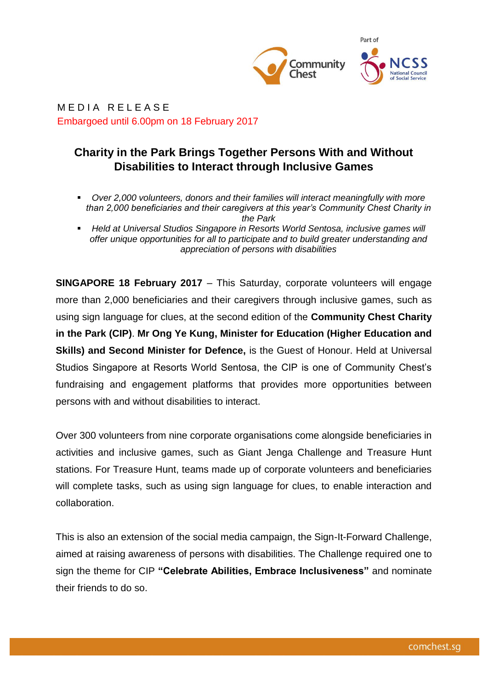

MEDIA RELEASE Embargoed until 6.00pm on 18 February 2017

## **Charity in the Park Brings Together Persons With and Without Disabilities to Interact through Inclusive Games**

- *Over 2,000 volunteers, donors and their families will interact meaningfully with more than 2,000 beneficiaries and their caregivers at this year's Community Chest Charity in the Park*
- *Held at Universal Studios Singapore in Resorts World Sentosa, inclusive games will offer unique opportunities for all to participate and to build greater understanding and appreciation of persons with disabilities*

**SINGAPORE 18 February 2017** – This Saturday, corporate volunteers will engage more than 2,000 beneficiaries and their caregivers through inclusive games, such as using sign language for clues, at the second edition of the **Community Chest Charity in the Park (CIP)**. **Mr Ong Ye Kung, Minister for Education (Higher Education and Skills) and Second Minister for Defence,** is the Guest of Honour. Held at Universal Studios Singapore at Resorts World Sentosa, the CIP is one of Community Chest's fundraising and engagement platforms that provides more opportunities between persons with and without disabilities to interact.

Over 300 volunteers from nine corporate organisations come alongside beneficiaries in activities and inclusive games, such as Giant Jenga Challenge and Treasure Hunt stations. For Treasure Hunt, teams made up of corporate volunteers and beneficiaries will complete tasks, such as using sign language for clues, to enable interaction and collaboration.

This is also an extension of the social media campaign, the Sign-It-Forward Challenge, aimed at raising awareness of persons with disabilities. The Challenge required one to sign the theme for CIP **"Celebrate Abilities, Embrace Inclusiveness"** and nominate their friends to do so.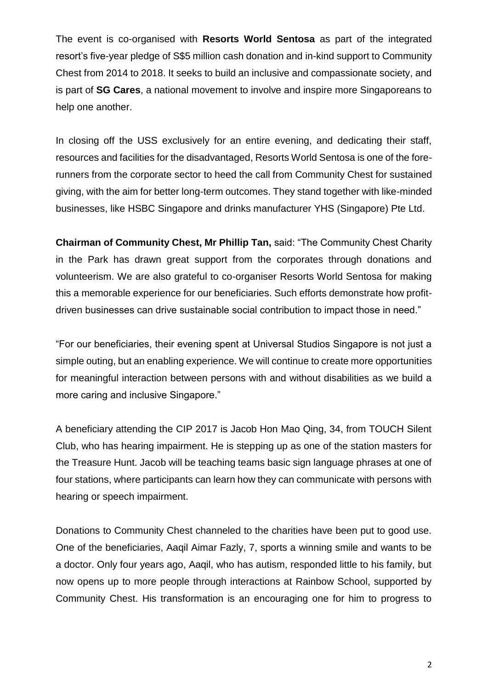The event is co-organised with **Resorts World Sentosa** as part of the integrated resort's five-year pledge of S\$5 million cash donation and in-kind support to Community Chest from 2014 to 2018. It seeks to build an inclusive and compassionate society, and is part of **SG Cares**, a national movement to involve and inspire more Singaporeans to help one another.

In closing off the USS exclusively for an entire evening, and dedicating their staff, resources and facilities for the disadvantaged, Resorts World Sentosa is one of the forerunners from the corporate sector to heed the call from Community Chest for sustained giving, with the aim for better long-term outcomes. They stand together with like-minded businesses, like HSBC Singapore and drinks manufacturer YHS (Singapore) Pte Ltd.

**Chairman of Community Chest, Mr Phillip Tan,** said: "The Community Chest Charity in the Park has drawn great support from the corporates through donations and volunteerism. We are also grateful to co-organiser Resorts World Sentosa for making this a memorable experience for our beneficiaries. Such efforts demonstrate how profitdriven businesses can drive sustainable social contribution to impact those in need."

"For our beneficiaries, their evening spent at Universal Studios Singapore is not just a simple outing, but an enabling experience. We will continue to create more opportunities for meaningful interaction between persons with and without disabilities as we build a more caring and inclusive Singapore."

A beneficiary attending the CIP 2017 is Jacob Hon Mao Qing, 34, from TOUCH Silent Club, who has hearing impairment. He is stepping up as one of the station masters for the Treasure Hunt. Jacob will be teaching teams basic sign language phrases at one of four stations, where participants can learn how they can communicate with persons with hearing or speech impairment.

Donations to Community Chest channeled to the charities have been put to good use. One of the beneficiaries, Aaqil Aimar Fazly, 7, sports a winning smile and wants to be a doctor. Only four years ago, Aaqil, who has autism, responded little to his family, but now opens up to more people through interactions at Rainbow School, supported by Community Chest. His transformation is an encouraging one for him to progress to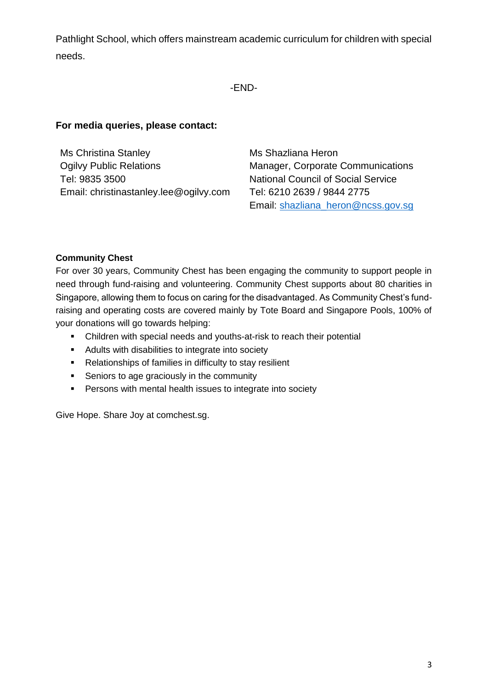Pathlight School, which offers mainstream academic curriculum for children with special needs.

### -END-

## **For media queries, please contact:**

Ms Christina Stanley Ogilvy Public Relations Tel: 9835 3500 Email: christinastanley.lee@ogilvy.com Ms Shazliana Heron Manager, Corporate Communications National Council of Social Service Tel: 6210 2639 / 9844 2775 Email: [shazliana\\_heron@ncss.gov.sg](mailto:shazliana_heron@ncss.gov.sg)

#### **Community Chest**

For over 30 years, Community Chest has been engaging the community to support people in need through fund-raising and volunteering. Community Chest supports about 80 charities in Singapore, allowing them to focus on caring for the disadvantaged. As Community Chest's fundraising and operating costs are covered mainly by Tote Board and Singapore Pools, 100% of your donations will go towards helping:

- Children with special needs and youths-at-risk to reach their potential
- **Adults with disabilities to integrate into society**
- Relationships of families in difficulty to stay resilient
- **Seniors to age graciously in the community**
- **Persons with mental health issues to integrate into society**

Give Hope. Share Joy at comchest.sg.